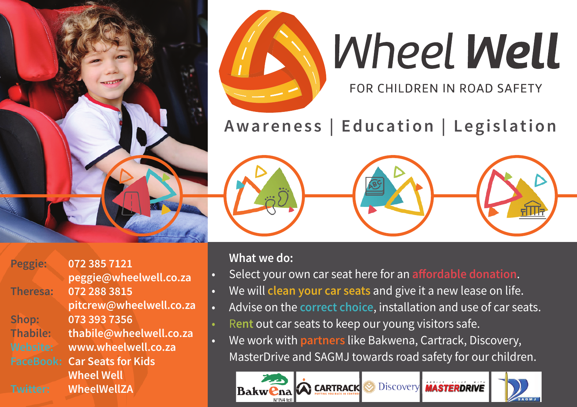

## **Wheel Well**

FOR CHILDREN IN ROAD SAFETY

### **Awareness | Education | Legislation**





**What we do:**

- Select your own car seat here for an **affordable donation**.
- We will **clean your car seats** and give it a new lease on life.
- Advise on the **correct choice**, installation and use of car seats.
- R**ent** out car seats to keep our young visitors safe.
- We work with **partners** like Bakwena, Cartrack, Discovery, MasterDrive and SAGMJ towards road safety for our children.

**Discovery CARTRACK MASTERDRIVE Bakwena** 



**Peggie: Thabile: Website: FaceBook: Car Seats for Kids Twitter: 072 385 7121 peggie@wheelwell.co.za 072 288 3815 pitcrew@wheelwell.co.za 073 393 7356 thabile@wheelwell.co.za www.wheelwell.co.za Wheel Well WheelWellZA**

**Theresa:**

**Shop:**